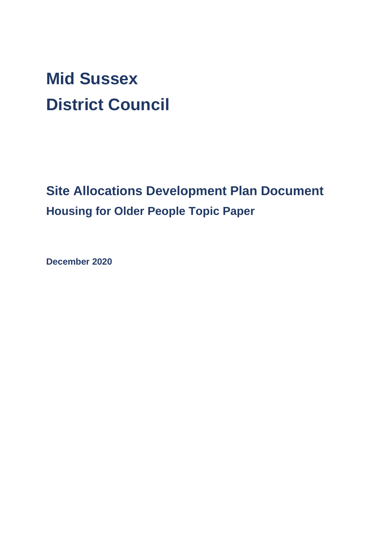# **Mid Sussex District Council**

**Site Allocations Development Plan Document Housing for Older People Topic Paper**

**December 2020**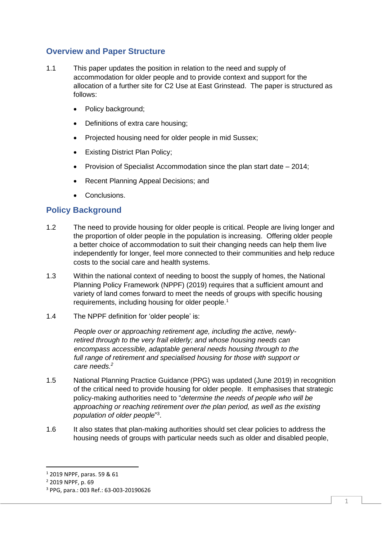## **Overview and Paper Structure**

- 1.1 This paper updates the position in relation to the need and supply of accommodation for older people and to provide context and support for the allocation of a further site for C2 Use at East Grinstead. The paper is structured as follows:
	- Policy background:
	- Definitions of extra care housing;
	- Projected housing need for older people in mid Sussex;
	- Existing District Plan Policy;
	- Provision of Specialist Accommodation since the plan start date 2014;
	- Recent Planning Appeal Decisions; and
	- Conclusions.

## **Policy Background**

- 1.2 The need to provide housing for older people is critical. People are living longer and the proportion of older people in the population is increasing. Offering older people a better choice of accommodation to suit their changing needs can help them live independently for longer, feel more connected to their communities and help reduce costs to the social care and health systems.
- 1.3 Within the national context of needing to boost the supply of homes, the National Planning Policy Framework (NPPF) (2019) requires that a sufficient amount and variety of land comes forward to meet the needs of groups with specific housing requirements, including housing for older people.<sup>1</sup>
- 1.4 The NPPF definition for 'older people' is:

*People over or approaching retirement age, including the active, newlyretired through to the very frail elderly; and whose housing needs can encompass accessible, adaptable general needs housing through to the full range of retirement and specialised housing for those with support or care needs.<sup>2</sup>*

- 1.5 National Planning Practice Guidance (PPG) was updated (June 2019) in recognition of the critical need to provide housing for older people. It emphasises that strategic policy-making authorities need to "*determine the needs of people who will be approaching or reaching retirement over the plan period, as well as the existing population of older people*" 3 .
- 1.6 It also states that plan-making authorities should set clear policies to address the housing needs of groups with particular needs such as older and disabled people,

<sup>1</sup> 2019 NPPF, paras. 59 & 61

<sup>2</sup> 2019 NPPF, p. 69

<sup>3</sup> PPG, para.: 003 Ref.: 63-003-20190626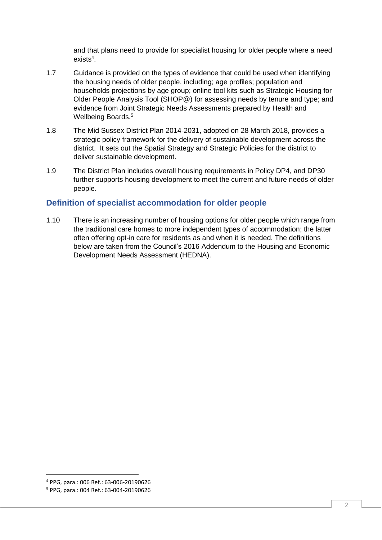and that plans need to provide for specialist housing for older people where a need exists<sup>4</sup>.

- 1.7 Guidance is provided on the types of evidence that could be used when identifying the housing needs of older people, including; age profiles; population and households projections by age group; online tool kits such as Strategic Housing for Older People Analysis Tool (SHOP@) for assessing needs by tenure and type; and evidence from Joint Strategic Needs Assessments prepared by Health and Wellbeing Boards.<sup>5</sup>
- 1.8 The Mid Sussex District Plan 2014-2031, adopted on 28 March 2018, provides a strategic policy framework for the delivery of sustainable development across the district. It sets out the Spatial Strategy and Strategic Policies for the district to deliver sustainable development.
- 1.9 The District Plan includes overall housing requirements in Policy DP4, and DP30 further supports housing development to meet the current and future needs of older people.

## **Definition of specialist accommodation for older people**

1.10 There is an increasing number of housing options for older people which range from the traditional care homes to more independent types of accommodation; the latter often offering opt-in care for residents as and when it is needed. The definitions below are taken from the Council's 2016 Addendum to the Housing and Economic Development Needs Assessment (HEDNA).

<sup>4</sup> PPG, para.: 006 Ref.: 63-006-20190626

<sup>5</sup> PPG, para.: 004 Ref.: 63-004-20190626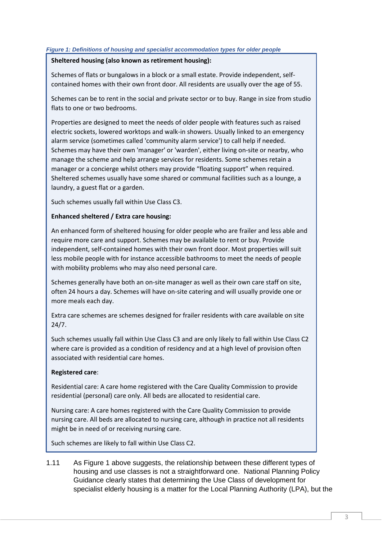#### *Figure 1: Definitions of housing and specialist accommodation types for older people*

#### **Sheltered housing (also known as retirement housing):**

Schemes of flats or bungalows in a block or a small estate. Provide independent, selfcontained homes with their own front door. All residents are usually over the age of 55.

Schemes can be to rent in the social and private sector or to buy. Range in size from studio flats to one or two bedrooms.

Properties are designed to meet the needs of older people with features such as raised electric sockets, lowered worktops and walk-in showers. Usually linked to an emergency alarm service (sometimes called 'community alarm service') to call help if needed. Schemes may have their own 'manager' or 'warden', either living on-site or nearby, who manage the scheme and help arrange services for residents. Some schemes retain a manager or a concierge whilst others may provide "floating support" when required. Sheltered schemes usually have some shared or communal facilities such as a lounge, a laundry, a guest flat or a garden.

Such schemes usually fall within Use Class C3.

#### **Enhanced sheltered / Extra care housing:**

An enhanced form of sheltered housing for older people who are frailer and less able and require more care and support. Schemes may be available to rent or buy. Provide independent, self-contained homes with their own front door. Most properties will suit less mobile people with for instance accessible bathrooms to meet the needs of people with mobility problems who may also need personal care.

Schemes generally have both an on-site manager as well as their own care staff on site, often 24 hours a day. Schemes will have on-site catering and will usually provide one or more meals each day.

Extra care schemes are schemes designed for frailer residents with care available on site 24/7.

Such schemes usually fall within Use Class C3 and are only likely to fall within Use Class C2 where care is provided as a condition of residency and at a high level of provision often associated with residential care homes.

#### **Registered care**:

Residential care: A care home registered with the Care Quality Commission to provide residential (personal) care only. All beds are allocated to residential care.

Nursing care: A care homes registered with the Care Quality Commission to provide nursing care. All beds are allocated to nursing care, although in practice not all residents might be in need of or receiving nursing care.

Such schemes are likely to fall within Use Class C2.

1.11 As Figure 1 above suggests, the relationship between these different types of housing and use classes is not a straightforward one. National Planning Policy Guidance clearly states that determining the Use Class of development for specialist elderly housing is a matter for the Local Planning Authority (LPA), but the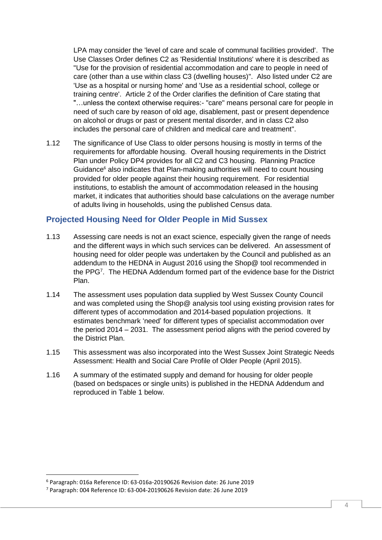LPA may consider the 'level of care and scale of communal facilities provided'. The Use Classes Order defines C2 as 'Residential Institutions' where it is described as "Use for the provision of residential accommodation and care to people in need of care (other than a use within class C3 (dwelling houses)". Also listed under C2 are 'Use as a hospital or nursing home' and 'Use as a residential school, college or training centre'. Article 2 of the Order clarifies the definition of Care stating that "…unless the context otherwise requires:- "care" means personal care for people in need of such care by reason of old age, disablement, past or present dependence on alcohol or drugs or past or present mental disorder, and in class C2 also includes the personal care of children and medical care and treatment".

1.12 The significance of Use Class to older persons housing is mostly in terms of the requirements for affordable housing. Overall housing requirements in the District Plan under Policy DP4 provides for all C2 and C3 housing. Planning Practice Guidance<sup>6</sup> also indicates that Plan-making authorities will need to count housing provided for older people against their housing requirement. For residential institutions, to establish the amount of accommodation released in the housing market, it indicates that authorities should base calculations on the average number of adults living in households, using the published Census data.

## **Projected Housing Need for Older People in Mid Sussex**

- 1.13 Assessing care needs is not an exact science, especially given the range of needs and the different ways in which such services can be delivered. An assessment of housing need for older people was undertaken by the Council and published as an addendum to the HEDNA in August 2016 using the Shop@ tool recommended in the PPG<sup>7</sup> . The HEDNA Addendum formed part of the evidence base for the District Plan.
- 1.14 The assessment uses population data supplied by West Sussex County Council and was completed using the Shop@ analysis tool using existing provision rates for different types of accommodation and 2014-based population projections. It estimates benchmark 'need' for different types of specialist accommodation over the period 2014 – 2031. The assessment period aligns with the period covered by the District Plan.
- 1.15 This assessment was also incorporated into the West Sussex Joint Strategic Needs Assessment: Health and Social Care Profile of Older People (April 2015).
- 1.16 A summary of the estimated supply and demand for housing for older people (based on bedspaces or single units) is published in the HEDNA Addendum and reproduced in Table 1 below.

<sup>6</sup> Paragraph: 016a Reference ID: 63-016a-20190626 Revision date: 26 June 2019

<sup>7</sup> Paragraph: 004 Reference ID: 63-004-20190626 Revision date: 26 June 2019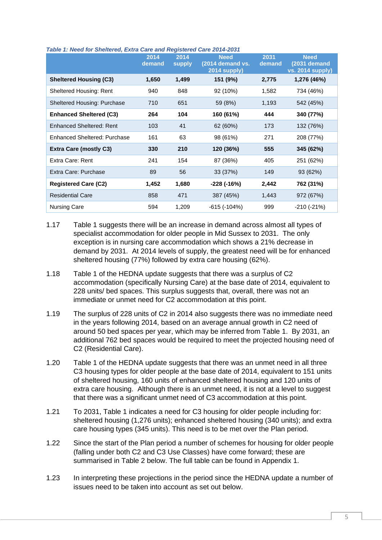|                                    | 2014<br>demand | 2014<br><b>supply</b> | <b>Need</b><br>$(2014$ demand vs.<br>2014 supply) | 2031<br>demand | <b>Need</b><br>(2031 demand<br><b>vs. 2014 supply)</b> |
|------------------------------------|----------------|-----------------------|---------------------------------------------------|----------------|--------------------------------------------------------|
| <b>Sheltered Housing (C3)</b>      | 1,650          | 1,499                 | 151 (9%)                                          | 2,775          | 1,276 (46%)                                            |
| Sheltered Housing: Rent            | 940            | 848                   | 92 (10%)                                          | 1,582          | 734 (46%)                                              |
| <b>Sheltered Housing: Purchase</b> | 710            | 651                   | 59 (8%)                                           | 1,193          | 542 (45%)                                              |
| <b>Enhanced Sheltered (C3)</b>     | 264            | 104                   | 160 (61%)                                         | 444            | 340 (77%)                                              |
| <b>Enhanced Sheltered: Rent</b>    | 103            | 41                    | 62 (60%)                                          | 173            | 132 (76%)                                              |
| Enhanced Sheltered: Purchase       | 161            | 63                    | 98 (61%)                                          | 271            | 208 (77%)                                              |
| <b>Extra Care (mostly C3)</b>      | 330            | 210                   | 120 (36%)                                         | 555            | 345 (62%)                                              |
| Extra Care: Rent                   | 241            | 154                   | 87 (36%)                                          | 405            | 251 (62%)                                              |
| Extra Care: Purchase               | 89             | 56                    | 33 (37%)                                          | 149            | 93 (62%)                                               |
| <b>Registered Care (C2)</b>        | 1,452          | 1,680                 | -228 (-16%)                                       | 2,442          | 762 (31%)                                              |
| <b>Residential Care</b>            | 858            | 471                   | 387 (45%)                                         | 1,443          | 972 (67%)                                              |
| <b>Nursing Care</b>                | 594            | 1,209                 | $-615(-104%)$                                     | 999            | $-210(-21%)$                                           |

#### *Table 1: Need for Sheltered, Extra Care and Registered Care 2014-2031*

- 1.17 Table 1 suggests there will be an increase in demand across almost all types of specialist accommodation for older people in Mid Sussex to 2031. The only exception is in nursing care accommodation which shows a 21% decrease in demand by 2031. At 2014 levels of supply, the greatest need will be for enhanced sheltered housing (77%) followed by extra care housing (62%).
- 1.18 Table 1 of the HEDNA update suggests that there was a surplus of C2 accommodation (specifically Nursing Care) at the base date of 2014, equivalent to 228 units/ bed spaces. This surplus suggests that, overall, there was not an immediate or unmet need for C2 accommodation at this point.
- 1.19 The surplus of 228 units of C2 in 2014 also suggests there was no immediate need in the years following 2014, based on an average annual growth in C2 need of around 50 bed spaces per year, which may be inferred from Table 1. By 2031, an additional 762 bed spaces would be required to meet the projected housing need of C2 (Residential Care).
- 1.20 Table 1 of the HEDNA update suggests that there was an unmet need in all three C3 housing types for older people at the base date of 2014, equivalent to 151 units of sheltered housing, 160 units of enhanced sheltered housing and 120 units of extra care housing. Although there is an unmet need, it is not at a level to suggest that there was a significant unmet need of C3 accommodation at this point.
- 1.21 To 2031, Table 1 indicates a need for C3 housing for older people including for: sheltered housing (1,276 units); enhanced sheltered housing (340 units); and extra care housing types (345 units). This need is to be met over the Plan period.
- 1.22 Since the start of the Plan period a number of schemes for housing for older people (falling under both C2 and C3 Use Classes) have come forward; these are summarised in Table 2 below. The full table can be found in Appendix 1.
- 1.23 In interpreting these projections in the period since the HEDNA update a number of issues need to be taken into account as set out below.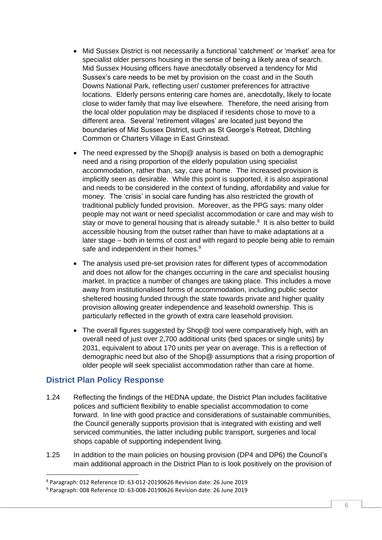- Mid Sussex District is not necessarily a functional 'catchment' or 'market' area for specialist older persons housing in the sense of being a likely area of search. Mid Sussex Housing officers have anecdotally observed a tendency for Mid Sussex's care needs to be met by provision on the coast and in the South Downs National Park, reflecting user/ customer preferences for attractive locations. Elderly persons entering care homes are, anecdotally, likely to locate close to wider family that may live elsewhere. Therefore, the need arising from the local older population may be displaced if residents chose to move to a different area. Several 'retirement villages' are located just beyond the boundaries of Mid Sussex District, such as St George's Retreat, Ditchling Common or Charters Village in East Grinstead.
- The need expressed by the Shop@ analysis is based on both a demographic need and a rising proportion of the elderly population using specialist accommodation, rather than, say, care at home. The increased provision is implicitly seen as desirable. While this point is supported, it is also aspirational and needs to be considered in the context of funding, affordability and value for money. The 'crisis' in social care funding has also restricted the growth of traditional publicly funded provision. Moreover, as the PPG says: many older people may not want or need specialist accommodation or care and may wish to stay or move to general housing that is already suitable.<sup>8</sup> It is also better to build accessible housing from the outset rather than have to make adaptations at a later stage – both in terms of cost and with regard to people being able to remain safe and independent in their homes.<sup>9</sup>
- The analysis used pre-set provision rates for different types of accommodation and does not allow for the changes occurring in the care and specialist housing market. In practice a number of changes are taking place. This includes a move away from institutionalised forms of accommodation, including public sector sheltered housing funded through the state towards private and higher quality provision allowing greater independence and leasehold ownership. This is particularly reflected in the growth of extra care leasehold provision.
- The overall figures suggested by Shop@ tool were comparatively high, with an overall need of just over 2,700 additional units (bed spaces or single units) by 2031, equivalent to about 170 units per year on average. This is a reflection of demographic need but also of the Shop@ assumptions that a rising proportion of older people will seek specialist accommodation rather than care at home.

### **District Plan Policy Response**

- 1.24 Reflecting the findings of the HEDNA update, the District Plan includes facilitative polices and sufficient flexibility to enable specialist accommodation to come forward. In line with good practice and considerations of sustainable communities, the Council generally supports provision that is integrated with existing and well serviced communities, the latter including public transport, surgeries and local shops capable of supporting independent living.
- 1.25 In addition to the main policies on housing provision (DP4 and DP6) the Council's main additional approach in the District Plan to is look positively on the provision of

<sup>8</sup> Paragraph: 012 Reference ID: 63-012-20190626 Revision date: 26 June 2019

<sup>9</sup> Paragraph: 008 Reference ID: 63-008-20190626 Revision date: 26 June 2019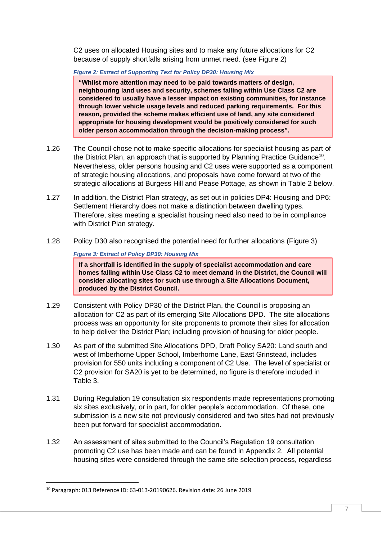C2 uses on allocated Housing sites and to make any future allocations for C2 because of supply shortfalls arising from unmet need. (see Figure 2)

*Figure 2: Extract of Supporting Text for Policy DP30: Housing Mix* 

**"Whilst more attention may need to be paid towards matters of design, neighbouring land uses and security, schemes falling within Use Class C2 are considered to usually have a lesser impact on existing communities, for instance through lower vehicle usage levels and reduced parking requirements. For this reason, provided the scheme makes efficient use of land, any site considered appropriate for housing development would be positively considered for such older person accommodation through the decision-making process".**

- 1.26 The Council chose not to make specific allocations for specialist housing as part of the District Plan, an approach that is supported by Planning Practice Guidance<sup>10</sup>. Nevertheless, older persons housing and C2 uses were supported as a component of strategic housing allocations, and proposals have come forward at two of the strategic allocations at Burgess Hill and Pease Pottage, as shown in Table 2 below.
- 1.27 In addition, the District Plan strategy, as set out in policies DP4: Housing and DP6: Settlement Hierarchy does not make a distinction between dwelling types. Therefore, sites meeting a specialist housing need also need to be in compliance with District Plan strategy.
- 1.28 Policy D30 also recognised the potential need for further allocations (Figure 3)

#### *Figure 3: Extract of Policy DP30: Housing Mix*

**If a shortfall is identified in the supply of specialist accommodation and care homes falling within Use Class C2 to meet demand in the District, the Council will consider allocating sites for such use through a Site Allocations Document, produced by the District Council.**

- 1.29 Consistent with Policy DP30 of the District Plan, the Council is proposing an allocation for C2 as part of its emerging Site Allocations DPD. The site allocations process was an opportunity for site proponents to promote their sites for allocation to help deliver the District Plan; including provision of housing for older people.
- 1.30 As part of the submitted Site Allocations DPD, Draft Policy SA20: Land south and west of Imberhorne Upper School, Imberhorne Lane, East Grinstead, includes provision for 550 units including a component of C2 Use. The level of specialist or C2 provision for SA20 is yet to be determined, no figure is therefore included in Table 3.
- 1.31 During Regulation 19 consultation six respondents made representations promoting six sites exclusively, or in part, for older people's accommodation. Of these, one submission is a new site not previously considered and two sites had not previously been put forward for specialist accommodation.
- 1.32 An assessment of sites submitted to the Council's Regulation 19 consultation promoting C2 use has been made and can be found in Appendix 2. All potential housing sites were considered through the same site selection process, regardless

<sup>10</sup> Paragraph: 013 Reference ID: 63-013-20190626. Revision date: 26 June 2019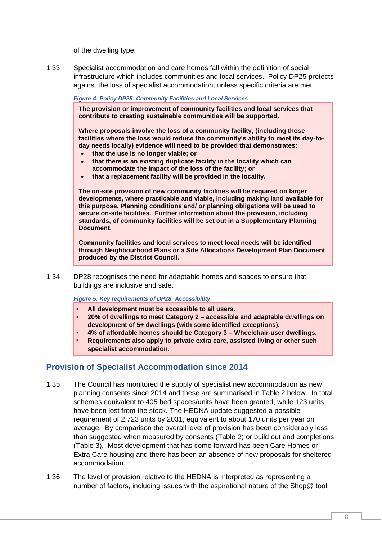of the dwelling type.

1.33 Specialist accommodation and care homes fall within the definition of social infrastructure which includes communities and local services. Policy DP25 protects against the loss of specialist accommodation, unless specific criteria are met.

#### *Figure 4: Policy DP25: Community Facilities and Local Services*

**The provision or improvement of community facilities and local services that contribute to creating sustainable communities will be supported.**

**Where proposals involve the loss of a community facility, (including those facilities where the loss would reduce the community's ability to meet its day-today needs locally) evidence will need to be provided that demonstrates:**

- **that the use is no longer viable; or**
- **that there is an existing duplicate facility in the locality which can accommodate the impact of the loss of the facility; or**
- **that a replacement facility will be provided in the locality.**

**The on-site provision of new community facilities will be required on larger developments, where practicable and viable, including making land available for this purpose. Planning conditions and/ or planning obligations will be used to secure on-site facilities. Further information about the provision, including standards, of community facilities will be set out in a Supplementary Planning Document.** 

**Community facilities and local services to meet local needs will be identified through Neighbourhood Plans or a Site Allocations Development Plan Document produced by the District Council.**

1.34 DP28 recognises the need for adaptable homes and spaces to ensure that buildings are inclusive and safe.

*Figure 5: Key requirements of DP28: Accessibility* 

- **All development must be accessible to all users.**
- **20% of dwellings to meet Category 2 – accessible and adaptable dwellings on development of 5+ dwellings (with some identified exceptions).**
- **4% of affordable homes should be Category 3 – Wheelchair-user dwellings.**
- **Requirements also apply to private extra care, assisted living or other such specialist accommodation.**

## **Provision of Specialist Accommodation since 2014**

- 1.35 The Council has monitored the supply of specialist new accommodation as new planning consents since 2014 and these are summarised in Table 2 below. In total schemes equivalent to 405 bed spaces/units have been granted, while 123 units have been lost from the stock. The HEDNA update suggested a possible requirement of 2,723 units by 2031, equivalent to about 170 units per year on average. By comparison the overall level of provision has been considerably less than suggested when measured by consents (Table 2) or build out and completions (Table 3). Most development that has come forward has been Care Homes or Extra Care housing and there has been an absence of new proposals for sheltered accommodation.
- 1.36 The level of provision relative to the HEDNA is interpreted as representing a number of factors, including issues with the aspirational nature of the Shop@ tool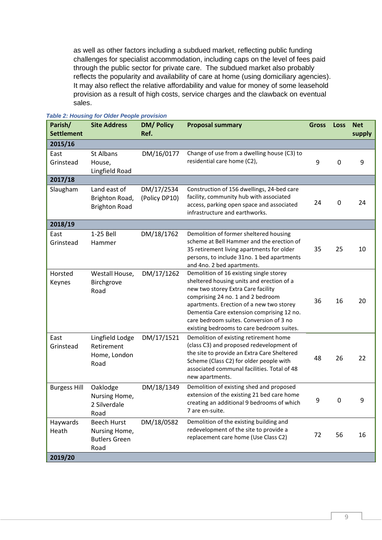as well as other factors including a subdued market, reflecting public funding challenges for specialist accommodation, including caps on the level of fees paid through the public sector for private care. The subdued market also probably reflects the popularity and availability of care at home (using domiciliary agencies). It may also reflect the relative affordability and value for money of some leasehold provision as a result of high costs, service charges and the clawback on eventual sales.

| Parish/<br><b>Settlement</b> | <b>Site Address</b>                                                 | <b>DM/Policy</b><br>Ref.    | <b>Proposal summary</b>                                                                                                                                                                                                                                                                                                                          | <b>Gross</b> | Loss        | <b>Net</b><br>supply |
|------------------------------|---------------------------------------------------------------------|-----------------------------|--------------------------------------------------------------------------------------------------------------------------------------------------------------------------------------------------------------------------------------------------------------------------------------------------------------------------------------------------|--------------|-------------|----------------------|
| 2015/16                      |                                                                     |                             |                                                                                                                                                                                                                                                                                                                                                  |              |             |                      |
| East<br>Grinstead            | St Albans<br>House,<br>Lingfield Road                               | DM/16/0177                  | Change of use from a dwelling house (C3) to<br>residential care home (C2),                                                                                                                                                                                                                                                                       | 9            | 0           | 9                    |
| 2017/18                      |                                                                     |                             |                                                                                                                                                                                                                                                                                                                                                  |              |             |                      |
| Slaugham                     | Land east of<br>Brighton Road,<br><b>Brighton Road</b>              | DM/17/2534<br>(Policy DP10) | Construction of 156 dwellings, 24-bed care<br>facility, community hub with associated<br>access, parking open space and associated<br>infrastructure and earthworks.                                                                                                                                                                             | 24           | $\mathbf 0$ | 24                   |
| 2018/19                      |                                                                     |                             |                                                                                                                                                                                                                                                                                                                                                  |              |             |                      |
| East<br>Grinstead            | 1-25 Bell<br>Hammer                                                 | DM/18/1762                  | Demolition of former sheltered housing<br>scheme at Bell Hammer and the erection of<br>35 retirement living apartments for older<br>persons, to include 31no. 1 bed apartments<br>and 4no. 2 bed apartments.                                                                                                                                     | 35           | 25          | 10                   |
| Horsted<br>Keynes            | Westall House,<br>Birchgrove<br>Road                                | DM/17/1262                  | Demolition of 16 existing single storey<br>sheltered housing units and erection of a<br>new two storey Extra Care facility<br>comprising 24 no. 1 and 2 bedroom<br>apartments. Erection of a new two storey<br>Dementia Care extension comprising 12 no.<br>care bedroom suites. Conversion of 3 no<br>existing bedrooms to care bedroom suites. | 36           | 16          | 20                   |
| East<br>Grinstead            | Lingfield Lodge<br>Retirement<br>Home, London<br>Road               | DM/17/1521                  | Demolition of existing retirement home<br>(class C3) and proposed redevelopment of<br>the site to provide an Extra Care Sheltered<br>Scheme (Class C2) for older people with<br>associated communal facilities. Total of 48<br>new apartments.                                                                                                   | 48           | 26          | 22                   |
| <b>Burgess Hill</b>          | Oaklodge<br>Nursing Home,<br>2 Silverdale<br>Road                   | DM/18/1349                  | Demolition of existing shed and proposed<br>extension of the existing 21 bed care home<br>creating an additional 9 bedrooms of which<br>7 are en-suite.                                                                                                                                                                                          | 9            | 0           | 9                    |
| Haywards<br>Heath            | <b>Beech Hurst</b><br>Nursing Home,<br><b>Butlers Green</b><br>Road | DM/18/0582                  | Demolition of the existing building and<br>redevelopment of the site to provide a<br>replacement care home (Use Class C2)                                                                                                                                                                                                                        | 72           | 56          | 16                   |
| 2019/20                      |                                                                     |                             |                                                                                                                                                                                                                                                                                                                                                  |              |             |                      |

#### *Table 2: Housing for Older People provision*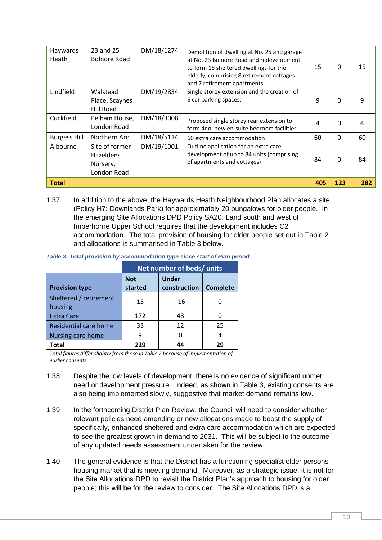| Haywards<br>Heath   | 23 and 25<br><b>Bolnore Road</b>                       | DM/18/1274 | Demolition of dwelling at No. 25 and garage<br>at No. 23 Bolnore Road and redevelopment<br>to form 15 sheltered dwellings for the<br>elderly, comprising 8 retirement cottages<br>and 7 retirement apartments. | 15  | $\mathbf 0$ | 15  |
|---------------------|--------------------------------------------------------|------------|----------------------------------------------------------------------------------------------------------------------------------------------------------------------------------------------------------------|-----|-------------|-----|
| Lindfield           | Walstead<br>Place, Scaynes<br><b>Hill Road</b>         | DM/19/2834 | Single storey extension and the creation of<br>6 car parking spaces.                                                                                                                                           | 9   | 0           | 9   |
| Cuckfield           | Pelham House,<br>London Road                           | DM/18/3008 | Proposed single storey rear extension to<br>form 4no. new en-suite bedroom facilities                                                                                                                          | 4   | 0           | 4   |
| <b>Burgess Hill</b> | Northern Arc                                           | DM/18/5114 | 60 extra care accommodation                                                                                                                                                                                    | 60  | 0           | 60  |
| Albourne            | Site of former<br>Hazeldens<br>Nursery,<br>London Road | DM/19/1001 | Outline application for an extra care<br>development of up to 84 units (comprising<br>of apartments and cottages)                                                                                              | 84  | $\Omega$    | 84  |
| <b>Total</b>        |                                                        |            |                                                                                                                                                                                                                | 405 | 123         | 282 |

1.37 In addition to the above, the Haywards Heath Neighbourhood Plan allocates a site (Policy H7: Downlands Park) for approximately 20 bungalows for older people. In the emerging Site Allocations DPD Policy SA20: Land south and west of Imberhorne Upper School requires that the development includes C2 accommodation. The total provision of housing for older people set out in Table 2 and allocations is summarised in Table 3 below.

| Table 3: Total provision by accommodation type since start of Plan period |
|---------------------------------------------------------------------------|
|---------------------------------------------------------------------------|

|                                                                                                      |                       | Net number of beds/ units    |                 |  |  |  |
|------------------------------------------------------------------------------------------------------|-----------------------|------------------------------|-----------------|--|--|--|
| <b>Provision type</b>                                                                                | <b>Not</b><br>started | <b>Under</b><br>construction | <b>Complete</b> |  |  |  |
| Sheltered / retirement<br>housing                                                                    | 15                    | $-16$                        |                 |  |  |  |
| <b>Extra Care</b>                                                                                    | 172                   | 48                           | O               |  |  |  |
| Residential care home                                                                                | 33                    | 12                           | 25              |  |  |  |
| Nursing care home                                                                                    | 9                     | ŋ                            | 4               |  |  |  |
| <b>Total</b>                                                                                         | 229                   | 44                           | 29              |  |  |  |
| Total figures differ slightly from those in Table 2 because of implementation of<br>earlier consents |                       |                              |                 |  |  |  |

- 1.38 Despite the low levels of development, there is no evidence of significant unmet need or development pressure. Indeed, as shown in Table 3, existing consents are also being implemented slowly, suggestive that market demand remains low.
- 1.39 In the forthcoming District Plan Review, the Council will need to consider whether relevant policies need amending or new allocations made to boost the supply of, specifically, enhanced sheltered and extra care accommodation which are expected to see the greatest growth in demand to 2031. This will be subject to the outcome of any updated needs assessment undertaken for the review.
- 1.40 The general evidence is that the District has a functioning specialist older persons housing market that is meeting demand. Moreover, as a strategic issue, it is not for the Site Allocations DPD to revisit the District Plan's approach to housing for older people; this will be for the review to consider. The Site Allocations DPD is a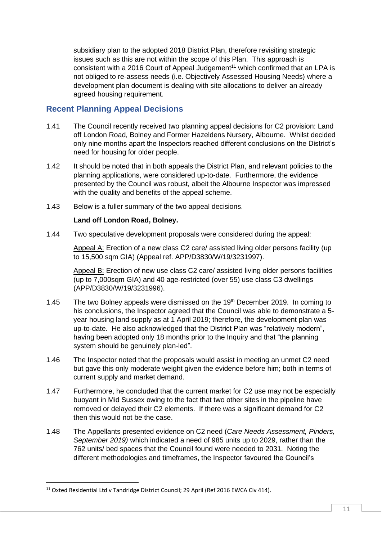subsidiary plan to the adopted 2018 District Plan, therefore revisiting strategic issues such as this are not within the scope of this Plan. This approach is consistent with a 2016 Court of Appeal Judgement<sup>11</sup> which confirmed that an LPA is not obliged to re-assess needs (i.e. Objectively Assessed Housing Needs) where a development plan document is dealing with site allocations to deliver an already agreed housing requirement.

## **Recent Planning Appeal Decisions**

- 1.41 The Council recently received two planning appeal decisions for C2 provision: Land off London Road, Bolney and Former Hazeldens Nursery, Albourne. Whilst decided only nine months apart the Inspectors reached different conclusions on the District's need for housing for older people.
- 1.42 It should be noted that in both appeals the District Plan, and relevant policies to the planning applications, were considered up-to-date. Furthermore, the evidence presented by the Council was robust, albeit the Albourne Inspector was impressed with the quality and benefits of the appeal scheme.
- 1.43 Below is a fuller summary of the two appeal decisions.

### **Land off London Road, Bolney.**

1.44 Two speculative development proposals were considered during the appeal:

Appeal A: Erection of a new class C2 care/ assisted living older persons facility (up to 15,500 sqm GIA) (Appeal ref. APP/D3830/W/19/3231997).

Appeal B: Erection of new use class C2 care/ assisted living older persons facilities (up to 7,000sqm GIA) and 40 age-restricted (over 55) use class C3 dwellings (APP/D3830/W/19/3231996).

- 1.45 The two Bolney appeals were dismissed on the 19th December 2019. In coming to his conclusions, the Inspector agreed that the Council was able to demonstrate a 5 year housing land supply as at 1 April 2019; therefore, the development plan was up-to-date. He also acknowledged that the District Plan was "relatively modern", having been adopted only 18 months prior to the Inquiry and that "the planning system should be genuinely plan-led".
- 1.46 The Inspector noted that the proposals would assist in meeting an unmet C2 need but gave this only moderate weight given the evidence before him; both in terms of current supply and market demand.
- 1.47 Furthermore, he concluded that the current market for C2 use may not be especially buoyant in Mid Sussex owing to the fact that two other sites in the pipeline have removed or delayed their C2 elements. If there was a significant demand for C2 then this would not be the case.
- 1.48 The Appellants presented evidence on C2 need (*Care Needs Assessment, Pinders, September 2019)* which indicated a need of 985 units up to 2029, rather than the 762 units/ bed spaces that the Council found were needed to 2031. Noting the different methodologies and timeframes, the Inspector favoured the Council's

<sup>&</sup>lt;sup>11</sup> Oxted Residential Ltd v Tandridge District Council; 29 April (Ref 2016 EWCA Civ 414).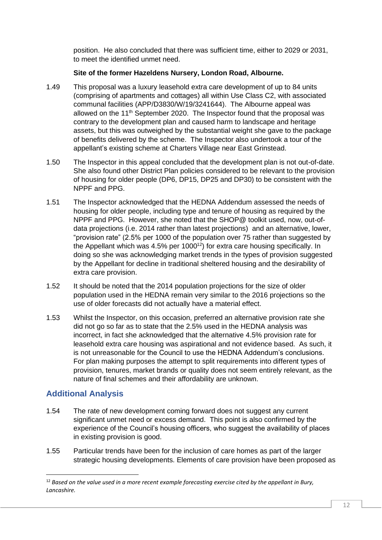position. He also concluded that there was sufficient time, either to 2029 or 2031, to meet the identified unmet need.

#### **Site of the former Hazeldens Nursery, London Road, Albourne.**

- 1.49 This proposal was a luxury leasehold extra care development of up to 84 units (comprising of apartments and cottages) all within Use Class C2, with associated communal facilities (APP/D3830/W/19/3241644). The Albourne appeal was allowed on the  $11<sup>th</sup>$  September 2020. The Inspector found that the proposal was contrary to the development plan and caused harm to landscape and heritage assets, but this was outweighed by the substantial weight she gave to the package of benefits delivered by the scheme. The Inspector also undertook a tour of the appellant's existing scheme at Charters Village near East Grinstead.
- 1.50 The Inspector in this appeal concluded that the development plan is not out-of-date. She also found other District Plan policies considered to be relevant to the provision of housing for older people (DP6, DP15, DP25 and DP30) to be consistent with the NPPF and PPG.
- 1.51 The Inspector acknowledged that the HEDNA Addendum assessed the needs of housing for older people, including type and tenure of housing as required by the NPPF and PPG. However, she noted that the SHOP@ toolkit used, now, out-ofdata projections (i.e. 2014 rather than latest projections) and an alternative, lower, "provision rate" (2.5% per 1000 of the population over 75 rather than suggested by the Appellant which was  $4.5\%$  per  $1000^{12}$ ) for extra care housing specifically. In doing so she was acknowledging market trends in the types of provision suggested by the Appellant for decline in traditional sheltered housing and the desirability of extra care provision.
- 1.52 It should be noted that the 2014 population projections for the size of older population used in the HEDNA remain very similar to the 2016 projections so the use of older forecasts did not actually have a material effect.
- 1.53 Whilst the Inspector, on this occasion, preferred an alternative provision rate she did not go so far as to state that the 2.5% used in the HEDNA analysis was incorrect, in fact she acknowledged that the alternative 4.5% provision rate for leasehold extra care housing was aspirational and not evidence based. As such, it is not unreasonable for the Council to use the HEDNA Addendum's conclusions. For plan making purposes the attempt to split requirements into different types of provision, tenures, market brands or quality does not seem entirely relevant, as the nature of final schemes and their affordability are unknown.

# **Additional Analysis**

- 1.54 The rate of new development coming forward does not suggest any current significant unmet need or excess demand. This point is also confirmed by the experience of the Council's housing officers, who suggest the availability of places in existing provision is good.
- 1.55 Particular trends have been for the inclusion of care homes as part of the larger strategic housing developments. Elements of care provision have been proposed as

<sup>12</sup> *Based on the value used in a more recent example forecasting exercise cited by the appellant in Bury, Lancashire.*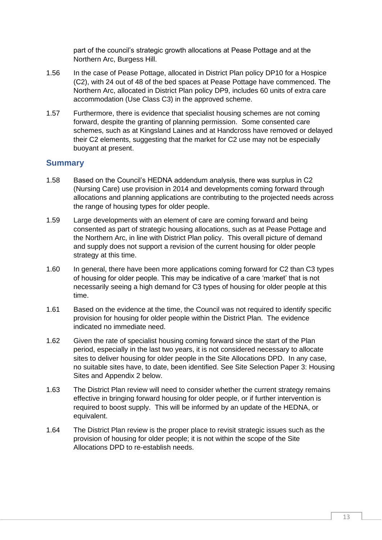part of the council's strategic growth allocations at Pease Pottage and at the Northern Arc, Burgess Hill.

- 1.56 In the case of Pease Pottage, allocated in District Plan policy DP10 for a Hospice (C2), with 24 out of 48 of the bed spaces at Pease Pottage have commenced. The Northern Arc, allocated in District Plan policy DP9, includes 60 units of extra care accommodation (Use Class C3) in the approved scheme.
- 1.57 Furthermore, there is evidence that specialist housing schemes are not coming forward, despite the granting of planning permission. Some consented care schemes, such as at Kingsland Laines and at Handcross have removed or delayed their C2 elements, suggesting that the market for C2 use may not be especially buoyant at present.

## **Summary**

- 1.58 Based on the Council's HEDNA addendum analysis, there was surplus in C2 (Nursing Care) use provision in 2014 and developments coming forward through allocations and planning applications are contributing to the projected needs across the range of housing types for older people.
- 1.59 Large developments with an element of care are coming forward and being consented as part of strategic housing allocations, such as at Pease Pottage and the Northern Arc, in line with District Plan policy. This overall picture of demand and supply does not support a revision of the current housing for older people strategy at this time.
- 1.60 In general, there have been more applications coming forward for C2 than C3 types of housing for older people. This may be indicative of a care 'market' that is not necessarily seeing a high demand for C3 types of housing for older people at this time.
- 1.61 Based on the evidence at the time, the Council was not required to identify specific provision for housing for older people within the District Plan. The evidence indicated no immediate need.
- 1.62 Given the rate of specialist housing coming forward since the start of the Plan period, especially in the last two years, it is not considered necessary to allocate sites to deliver housing for older people in the Site Allocations DPD. In any case, no suitable sites have, to date, been identified. See Site Selection Paper 3: Housing Sites and Appendix 2 below.
- 1.63 The District Plan review will need to consider whether the current strategy remains effective in bringing forward housing for older people, or if further intervention is required to boost supply. This will be informed by an update of the HEDNA, or equivalent.
- 1.64 The District Plan review is the proper place to revisit strategic issues such as the provision of housing for older people; it is not within the scope of the Site Allocations DPD to re-establish needs.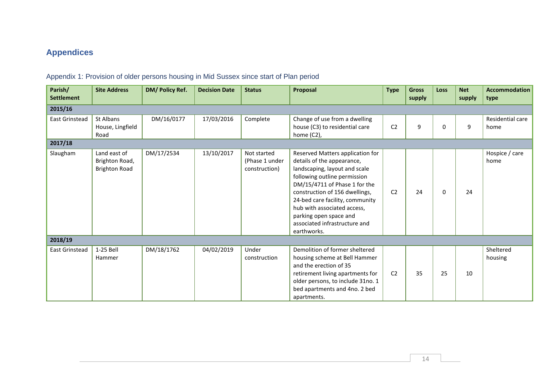# **Appendices**

| Parish/<br><b>Settlement</b> | <b>Site Address</b>                                    | DM/ Policy Ref. | <b>Decision Date</b> | <b>Status</b>                                  | Proposal                                                                                                                                                                                                                                                                                                                                       | <b>Type</b>    | <b>Gross</b><br>supply | Loss     | <b>Net</b><br>supply | <b>Accommodation</b><br>type |
|------------------------------|--------------------------------------------------------|-----------------|----------------------|------------------------------------------------|------------------------------------------------------------------------------------------------------------------------------------------------------------------------------------------------------------------------------------------------------------------------------------------------------------------------------------------------|----------------|------------------------|----------|----------------------|------------------------------|
| 2015/16                      |                                                        |                 |                      |                                                |                                                                                                                                                                                                                                                                                                                                                |                |                        |          |                      |                              |
| East Grinstead<br>2017/18    | St Albans<br>House, Lingfield<br>Road                  | DM/16/0177      | 17/03/2016           | Complete                                       | Change of use from a dwelling<br>house (C3) to residential care<br>home (C2),                                                                                                                                                                                                                                                                  | C <sub>2</sub> | 9                      | 0        | 9                    | Residential care<br>home     |
| Slaugham                     | Land east of<br>Brighton Road,<br><b>Brighton Road</b> | DM/17/2534      | 13/10/2017           | Not started<br>(Phase 1 under<br>construction) | Reserved Matters application for<br>details of the appearance,<br>landscaping, layout and scale<br>following outline permission<br>DM/15/4711 of Phase 1 for the<br>construction of 156 dwellings,<br>24-bed care facility, community<br>hub with associated access,<br>parking open space and<br>associated infrastructure and<br>earthworks. | C <sub>2</sub> | 24                     | $\Omega$ | 24                   | Hospice / care<br>home       |
| 2018/19                      |                                                        |                 |                      |                                                |                                                                                                                                                                                                                                                                                                                                                |                |                        |          |                      |                              |
| East Grinstead               | 1-25 Bell<br>Hammer                                    | DM/18/1762      | 04/02/2019           | Under<br>construction                          | Demolition of former sheltered<br>housing scheme at Bell Hammer<br>and the erection of 35<br>retirement living apartments for<br>older persons, to include 31no. 1<br>bed apartments and 4no. 2 bed<br>apartments.                                                                                                                             | C <sub>2</sub> | 35                     | 25       | 10                   | Sheltered<br>housing         |

# Appendix 1: Provision of older persons housing in Mid Sussex since start of Plan period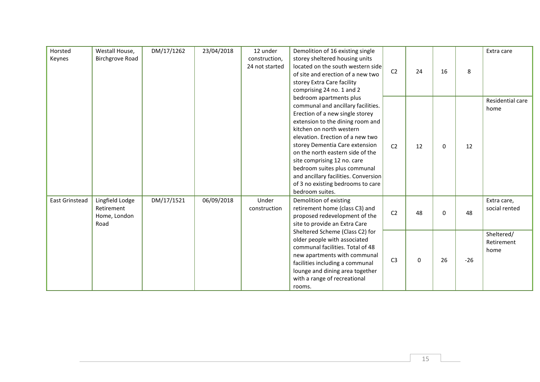| Horsted<br>Keynes | Westall House,<br><b>Birchgrove Road</b>              | DM/17/1262 | 23/04/2018 | 12 under<br>construction,<br>24 not started | Demolition of 16 existing single<br>storey sheltered housing units<br>located on the south western side<br>of site and erection of a new two<br>storey Extra Care facility<br>comprising 24 no. 1 and 2<br>bedroom apartments plus<br>communal and ancillary facilities.<br>Erection of a new single storey<br>extension to the dining room and<br>kitchen on north western<br>elevation. Erection of a new two<br>storey Dementia Care extension<br>on the north eastern side of the<br>site comprising 12 no. care<br>bedroom suites plus communal<br>and ancillary facilities. Conversion<br>of 3 no existing bedrooms to care<br>bedroom suites. | C <sub>2</sub> | 24 | 16       | 8     | Extra care                       |
|-------------------|-------------------------------------------------------|------------|------------|---------------------------------------------|------------------------------------------------------------------------------------------------------------------------------------------------------------------------------------------------------------------------------------------------------------------------------------------------------------------------------------------------------------------------------------------------------------------------------------------------------------------------------------------------------------------------------------------------------------------------------------------------------------------------------------------------------|----------------|----|----------|-------|----------------------------------|
|                   |                                                       |            |            |                                             |                                                                                                                                                                                                                                                                                                                                                                                                                                                                                                                                                                                                                                                      | C <sub>2</sub> | 12 | $\Omega$ | 12    | Residential care<br>home         |
| East Grinstead    | Lingfield Lodge<br>Retirement<br>Home, London<br>Road | DM/17/1521 | 06/09/2018 | Under<br>construction                       | Demolition of existing<br>retirement home (class C3) and<br>proposed redevelopment of the<br>site to provide an Extra Care                                                                                                                                                                                                                                                                                                                                                                                                                                                                                                                           | C <sub>2</sub> | 48 | 0        | 48    | Extra care,<br>social rented     |
|                   |                                                       |            |            |                                             | Sheltered Scheme (Class C2) for<br>older people with associated<br>communal facilities. Total of 48<br>new apartments with communal<br>facilities including a communal<br>lounge and dining area together<br>with a range of recreational<br>rooms.                                                                                                                                                                                                                                                                                                                                                                                                  | C <sub>3</sub> | 0  | 26       | $-26$ | Sheltered/<br>Retirement<br>home |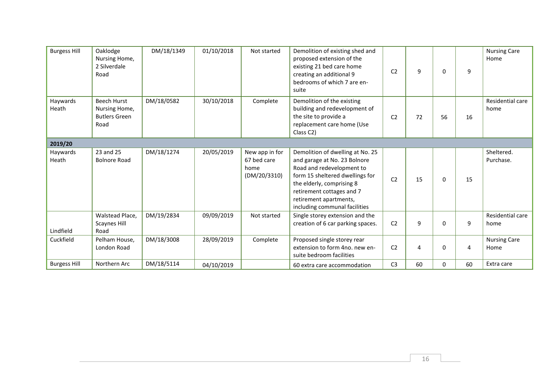| <b>Burgess Hill</b> | Oaklodge<br>Nursing Home,<br>2 Silverdale<br>Road                   | DM/18/1349 | 01/10/2018 | Not started                                           | Demolition of existing shed and<br>proposed extension of the<br>existing 21 bed care home<br>creating an additional 9<br>bedrooms of which 7 are en-<br>suite                                                                                         | C <sub>2</sub> | 9  | $\Omega$ | 9  | <b>Nursing Care</b><br>Home |
|---------------------|---------------------------------------------------------------------|------------|------------|-------------------------------------------------------|-------------------------------------------------------------------------------------------------------------------------------------------------------------------------------------------------------------------------------------------------------|----------------|----|----------|----|-----------------------------|
| Haywards<br>Heath   | <b>Beech Hurst</b><br>Nursing Home,<br><b>Butlers Green</b><br>Road | DM/18/0582 | 30/10/2018 | Complete                                              | Demolition of the existing<br>building and redevelopment of<br>the site to provide a<br>replacement care home (Use<br>Class C2)                                                                                                                       | C <sub>2</sub> | 72 | 56       | 16 | Residential care<br>home    |
| 2019/20             |                                                                     |            |            |                                                       |                                                                                                                                                                                                                                                       |                |    |          |    |                             |
| Haywards<br>Heath   | 23 and 25<br><b>Bolnore Road</b>                                    | DM/18/1274 | 20/05/2019 | New app in for<br>67 bed care<br>home<br>(DM/20/3310) | Demolition of dwelling at No. 25<br>and garage at No. 23 Bolnore<br>Road and redevelopment to<br>form 15 sheltered dwellings for<br>the elderly, comprising 8<br>retirement cottages and 7<br>retirement apartments,<br>including communal facilities | C <sub>2</sub> | 15 | $\Omega$ | 15 | Sheltered.<br>Purchase.     |
| Lindfield           | Walstead Place,<br><b>Scaynes Hill</b><br>Road                      | DM/19/2834 | 09/09/2019 | Not started                                           | Single storey extension and the<br>creation of 6 car parking spaces.                                                                                                                                                                                  | C <sub>2</sub> | 9  | 0        | 9  | Residential care<br>home    |
| Cuckfield           | Pelham House,<br>London Road                                        | DM/18/3008 | 28/09/2019 | Complete                                              | Proposed single storey rear<br>extension to form 4no, new en-<br>suite bedroom facilities                                                                                                                                                             | C <sub>2</sub> | 4  | 0        | 4  | <b>Nursing Care</b><br>Home |
| <b>Burgess Hill</b> | Northern Arc                                                        | DM/18/5114 | 04/10/2019 |                                                       | 60 extra care accommodation                                                                                                                                                                                                                           | C <sub>3</sub> | 60 | 0        | 60 | Extra care                  |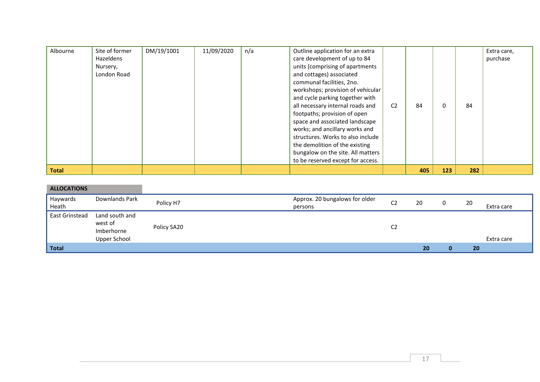| Albourne     | Site of former | DM/19/1001 | 11/09/2020 | n/a | Outline application for an extra  |                |     |     |     | Extra care, |
|--------------|----------------|------------|------------|-----|-----------------------------------|----------------|-----|-----|-----|-------------|
|              | Hazeldens      |            |            |     | care development of up to 84      |                |     |     |     | purchase    |
|              | Nursery,       |            |            |     | units (comprising of apartments   |                |     |     |     |             |
|              | London Road    |            |            |     | and cottages) associated          |                |     |     |     |             |
|              |                |            |            |     | communal facilities, 2no.         |                |     |     |     |             |
|              |                |            |            |     | workshops; provision of vehicular |                |     |     |     |             |
|              |                |            |            |     | and cycle parking together with   |                |     |     |     |             |
|              |                |            |            |     | all necessary internal roads and  | C <sub>2</sub> | 84  | 0   | 84  |             |
|              |                |            |            |     | footpaths; provision of open      |                |     |     |     |             |
|              |                |            |            |     | space and associated landscape    |                |     |     |     |             |
|              |                |            |            |     | works; and ancillary works and    |                |     |     |     |             |
|              |                |            |            |     | structures. Works to also include |                |     |     |     |             |
|              |                |            |            |     | the demolition of the existing    |                |     |     |     |             |
|              |                |            |            |     | bungalow on the site. All matters |                |     |     |     |             |
|              |                |            |            |     | to be reserved except for access. |                |     |     |     |             |
| <b>Total</b> |                |            |            |     |                                   |                | 405 | 123 | 282 |             |

| <b>ALLOCATIONS</b> |                                                         |             |                                           |                |    |    |            |
|--------------------|---------------------------------------------------------|-------------|-------------------------------------------|----------------|----|----|------------|
| Haywards<br>Heath  | Downlands Park                                          | Policy H7   | Approx. 20 bungalows for older<br>persons | C <sub>2</sub> | 20 | 20 | Extra care |
| East Grinstead     | Land south and<br>west of<br>Imberhorne<br>Upper School | Policy SA20 |                                           | C <sub>2</sub> |    |    | Extra care |
| <b>Total</b>       |                                                         |             |                                           |                | 20 | 20 |            |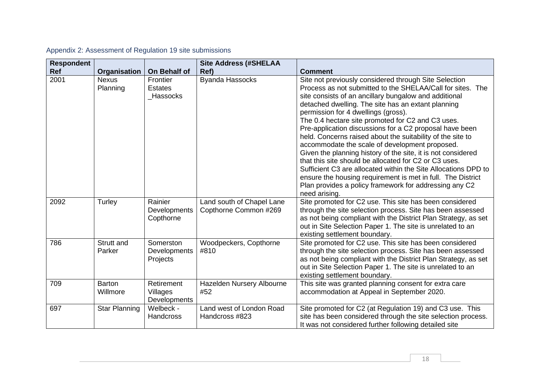| <b>Respondent</b> |                           |                                             | <b>Site Address (#SHELAA</b>                       |                                                                                                                                                                                                                                                                                                                                                                                                                                                                                                                                                                                                                                                                                                                                                                                                                                                |
|-------------------|---------------------------|---------------------------------------------|----------------------------------------------------|------------------------------------------------------------------------------------------------------------------------------------------------------------------------------------------------------------------------------------------------------------------------------------------------------------------------------------------------------------------------------------------------------------------------------------------------------------------------------------------------------------------------------------------------------------------------------------------------------------------------------------------------------------------------------------------------------------------------------------------------------------------------------------------------------------------------------------------------|
| <b>Ref</b>        | Organisation              | On Behalf of                                | Ref)                                               | <b>Comment</b>                                                                                                                                                                                                                                                                                                                                                                                                                                                                                                                                                                                                                                                                                                                                                                                                                                 |
| 2001              | <b>Nexus</b><br>Planning  | Frontier<br><b>Estates</b><br>Hassocks      | <b>Byanda Hassocks</b>                             | Site not previously considered through Site Selection<br>Process as not submitted to the SHELAA/Call for sites. The<br>site consists of an ancillary bungalow and additional<br>detached dwelling. The site has an extant planning<br>permission for 4 dwellings (gross).<br>The 0.4 hectare site promoted for C2 and C3 uses.<br>Pre-application discussions for a C2 proposal have been<br>held. Concerns raised about the suitability of the site to<br>accommodate the scale of development proposed.<br>Given the planning history of the site, it is not considered<br>that this site should be allocated for C2 or C3 uses.<br>Sufficient C3 are allocated within the Site Allocations DPD to<br>ensure the housing requirement is met in full. The District<br>Plan provides a policy framework for addressing any C2<br>need arising. |
| 2092              | Turley                    | Rainier<br><b>Developments</b><br>Copthorne | Land south of Chapel Lane<br>Copthorne Common #269 | Site promoted for C2 use. This site has been considered<br>through the site selection process. Site has been assessed<br>as not being compliant with the District Plan Strategy, as set<br>out in Site Selection Paper 1. The site is unrelated to an<br>existing settlement boundary.                                                                                                                                                                                                                                                                                                                                                                                                                                                                                                                                                         |
| 786               | Strutt and<br>Parker      | Somerston<br>Developments<br>Projects       | Woodpeckers, Copthorne<br>#810                     | Site promoted for C2 use. This site has been considered<br>through the site selection process. Site has been assessed<br>as not being compliant with the District Plan Strategy, as set<br>out in Site Selection Paper 1. The site is unrelated to an<br>existing settlement boundary.                                                                                                                                                                                                                                                                                                                                                                                                                                                                                                                                                         |
| 709               | <b>Barton</b><br>Willmore | Retirement<br>Villages<br>Developments      | Hazelden Nursery Albourne<br>#52                   | This site was granted planning consent for extra care<br>accommodation at Appeal in September 2020.                                                                                                                                                                                                                                                                                                                                                                                                                                                                                                                                                                                                                                                                                                                                            |
| 697               | <b>Star Planning</b>      | Welbeck -<br><b>Handcross</b>               | Land west of London Road<br>Handcross #823         | Site promoted for C2 (at Regulation 19) and C3 use. This<br>site has been considered through the site selection process.<br>It was not considered further following detailed site                                                                                                                                                                                                                                                                                                                                                                                                                                                                                                                                                                                                                                                              |

# Appendix 2: Assessment of Regulation 19 site submissions